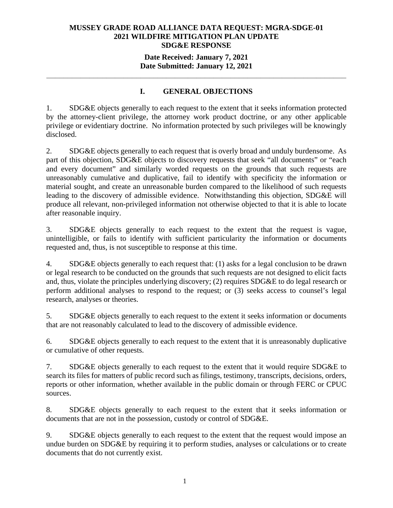## **Date Received: January 7, 2021 Date Submitted: January 12, 2021**

# **I. GENERAL OBJECTIONS**

**\_\_\_\_\_\_\_\_\_\_\_\_\_\_\_\_\_\_\_\_\_\_\_\_\_\_\_\_\_\_\_\_\_\_\_\_\_\_\_\_\_\_\_\_\_\_\_\_\_\_\_\_\_\_\_\_\_\_\_\_\_\_\_\_\_\_\_\_\_\_** 

1. SDG&E objects generally to each request to the extent that it seeks information protected by the attorney-client privilege, the attorney work product doctrine, or any other applicable privilege or evidentiary doctrine. No information protected by such privileges will be knowingly disclosed.

2. SDG&E objects generally to each request that is overly broad and unduly burdensome. As part of this objection, SDG&E objects to discovery requests that seek "all documents" or "each and every document" and similarly worded requests on the grounds that such requests are unreasonably cumulative and duplicative, fail to identify with specificity the information or material sought, and create an unreasonable burden compared to the likelihood of such requests leading to the discovery of admissible evidence. Notwithstanding this objection, SDG&E will produce all relevant, non-privileged information not otherwise objected to that it is able to locate after reasonable inquiry.

3. SDG&E objects generally to each request to the extent that the request is vague, unintelligible, or fails to identify with sufficient particularity the information or documents requested and, thus, is not susceptible to response at this time.

4. SDG&E objects generally to each request that: (1) asks for a legal conclusion to be drawn or legal research to be conducted on the grounds that such requests are not designed to elicit facts and, thus, violate the principles underlying discovery; (2) requires SDG&E to do legal research or perform additional analyses to respond to the request; or (3) seeks access to counsel's legal research, analyses or theories.

5. SDG&E objects generally to each request to the extent it seeks information or documents that are not reasonably calculated to lead to the discovery of admissible evidence.

6. SDG&E objects generally to each request to the extent that it is unreasonably duplicative or cumulative of other requests.

7. SDG&E objects generally to each request to the extent that it would require SDG&E to search its files for matters of public record such as filings, testimony, transcripts, decisions, orders, reports or other information, whether available in the public domain or through FERC or CPUC sources.

8. SDG&E objects generally to each request to the extent that it seeks information or documents that are not in the possession, custody or control of SDG&E.

9. SDG&E objects generally to each request to the extent that the request would impose an undue burden on SDG&E by requiring it to perform studies, analyses or calculations or to create documents that do not currently exist.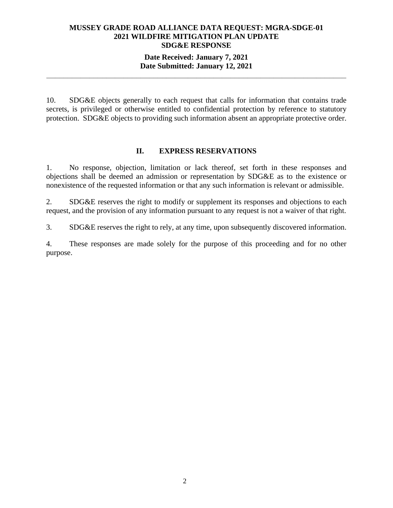## **Date Received: January 7, 2021 Date Submitted: January 12, 2021**

**\_\_\_\_\_\_\_\_\_\_\_\_\_\_\_\_\_\_\_\_\_\_\_\_\_\_\_\_\_\_\_\_\_\_\_\_\_\_\_\_\_\_\_\_\_\_\_\_\_\_\_\_\_\_\_\_\_\_\_\_\_\_\_\_\_\_\_\_\_\_** 

10. SDG&E objects generally to each request that calls for information that contains trade secrets, is privileged or otherwise entitled to confidential protection by reference to statutory protection. SDG&E objects to providing such information absent an appropriate protective order.

#### **II. EXPRESS RESERVATIONS**

1. No response, objection, limitation or lack thereof, set forth in these responses and objections shall be deemed an admission or representation by SDG&E as to the existence or nonexistence of the requested information or that any such information is relevant or admissible.

2. SDG&E reserves the right to modify or supplement its responses and objections to each request, and the provision of any information pursuant to any request is not a waiver of that right.

3. SDG&E reserves the right to rely, at any time, upon subsequently discovered information.

4. These responses are made solely for the purpose of this proceeding and for no other purpose.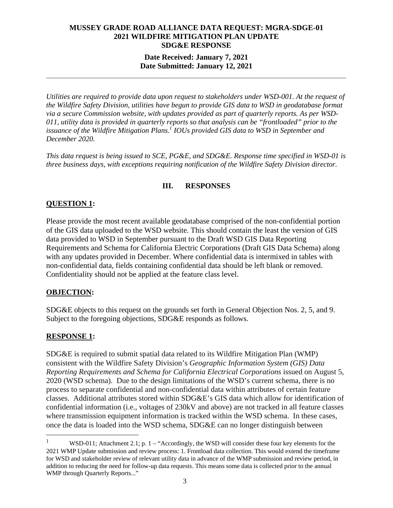## **Date Received: January 7, 2021 Date Submitted: January 12, 2021**

**\_\_\_\_\_\_\_\_\_\_\_\_\_\_\_\_\_\_\_\_\_\_\_\_\_\_\_\_\_\_\_\_\_\_\_\_\_\_\_\_\_\_\_\_\_\_\_\_\_\_\_\_\_\_\_\_\_\_\_\_\_\_\_\_\_\_\_\_\_\_** 

*Utilities are required to provide data upon request to stakeholders under WSD-001. At the request of the Wildfire Safety Division, utilities have begun to provide GIS data to WSD in geodatabase format via a secure Commission website, with updates provided as part of quarterly reports. As per WSD-011, utility data is provided in quarterly reports so that analysis can be "frontloaded" prior to the issuance of the Wildfire Mitigation Plans.1 IOUs provided GIS data to WSD in September and December 2020.* 

*This data request is being issued to SCE, PG&E, and SDG&E. Response time specified in WSD-01 is three business days, with exceptions requiring notification of the Wildfire Safety Division director.*

# **III. RESPONSES**

# **QUESTION 1:**

Please provide the most recent available geodatabase comprised of the non-confidential portion of the GIS data uploaded to the WSD website. This should contain the least the version of GIS data provided to WSD in September pursuant to the Draft WSD GIS Data Reporting Requirements and Schema for California Electric Corporations (Draft GIS Data Schema) along with any updates provided in December. Where confidential data is intermixed in tables with non-confidential data, fields containing confidential data should be left blank or removed. Confidentiality should not be applied at the feature class level.

#### **OBJECTION:**

SDG&E objects to this request on the grounds set forth in General Objection Nos. 2, 5, and 9. Subject to the foregoing objections, SDG&E responds as follows.

## **RESPONSE 1:**

SDG&E is required to submit spatial data related to its Wildfire Mitigation Plan (WMP) consistent with the Wildfire Safety Division's *Geographic Information System (GIS) Data Reporting Requirements and Schema for California Electrical Corporations* issued on August 5, 2020 (WSD schema). Due to the design limitations of the WSD's current schema, there is no process to separate confidential and non-confidential data within attributes of certain feature classes. Additional attributes stored within SDG&E's GIS data which allow for identification of confidential information (i.e., voltages of 230kV and above) are not tracked in all feature classes where transmission equipment information is tracked within the WSD schema. In these cases, once the data is loaded into the WSD schema, SDG&E can no longer distinguish between

<sup>1</sup> WSD-011; Attachment 2.1; p.  $1 -$  "Accordingly, the WSD will consider these four key elements for the 2021 WMP Update submission and review process: 1. Frontload data collection. This would extend the timeframe for WSD and stakeholder review of relevant utility data in advance of the WMP submission and review period, in addition to reducing the need for follow-up data requests. This means some data is collected prior to the annual WMP through Quarterly Reports..."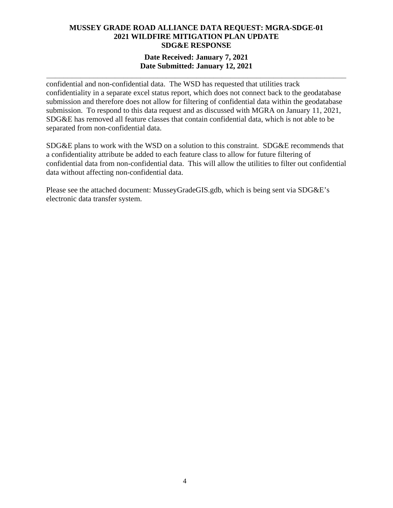## **Date Received: January 7, 2021 Date Submitted: January 12, 2021**

**\_\_\_\_\_\_\_\_\_\_\_\_\_\_\_\_\_\_\_\_\_\_\_\_\_\_\_\_\_\_\_\_\_\_\_\_\_\_\_\_\_\_\_\_\_\_\_\_\_\_\_\_\_\_\_\_\_\_\_\_\_\_\_\_\_\_\_\_\_\_** 

confidential and non-confidential data. The WSD has requested that utilities track confidentiality in a separate excel status report, which does not connect back to the geodatabase submission and therefore does not allow for filtering of confidential data within the geodatabase submission. To respond to this data request and as discussed with MGRA on January 11, 2021, SDG&E has removed all feature classes that contain confidential data, which is not able to be separated from non-confidential data.

SDG&E plans to work with the WSD on a solution to this constraint. SDG&E recommends that a confidentiality attribute be added to each feature class to allow for future filtering of confidential data from non-confidential data. This will allow the utilities to filter out confidential data without affecting non-confidential data.

Please see the attached document: MusseyGradeGIS.gdb, which is being sent via SDG&E's electronic data transfer system.